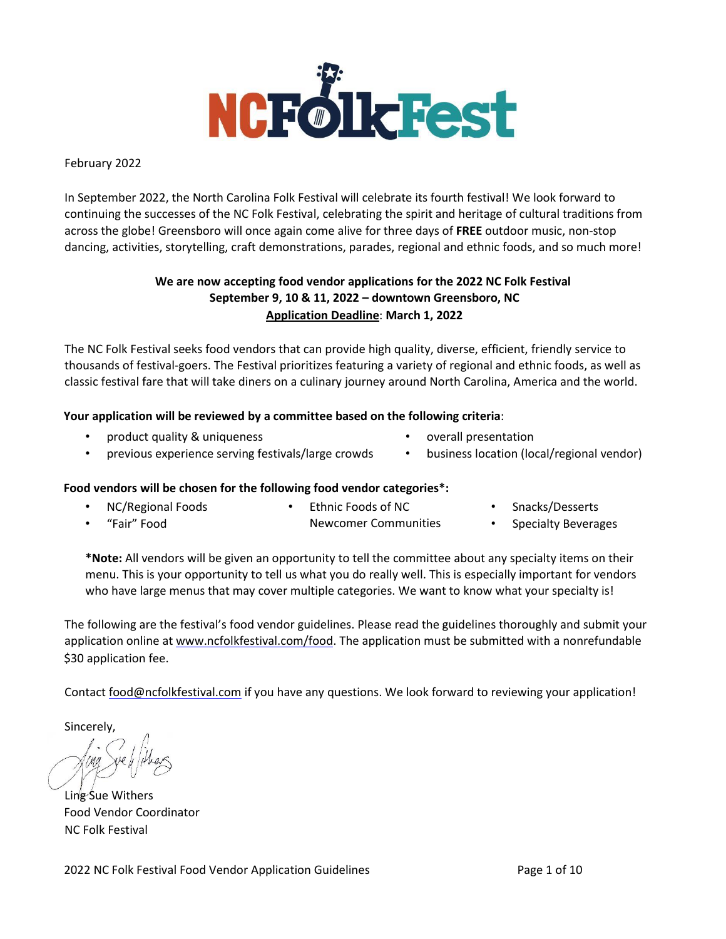

February 2022

In September 2022, the North Carolina Folk Festival will celebrate its fourth festival! We look forward to continuing the successes of the NC Folk Festival, celebrating the spirit and heritage of cultural traditions from across the globe! Greensboro will once again come alive for three days of **FREE** outdoor music, non-stop dancing, activities, storytelling, craft demonstrations, parades, regional and ethnic foods, and so much more!

# **We are now accepting food vendor applications for the 2022 NC Folk Festival September 9, 10 & 11, 2022 – downtown Greensboro, NC Application Deadline**: **March 1, 2022**

The NC Folk Festival seeks food vendors that can provide high quality, diverse, efficient, friendly service to thousands of festival-goers. The Festival prioritizes featuring a variety of regional and ethnic foods, as well as classic festival fare that will take diners on a culinary journey around North Carolina, America and the world.

# **Your application will be reviewed by a committee based on the following criteria**:

• product quality & uniqueness

- overall presentation
- previous experience serving festivals/large crowds
- 
- business location (local/regional vendor)

# **Food vendors will be chosen for the following food vendor categories\*:**

- NC/Regional Foods • Ethnic Foods of NC • Snacks/Desserts
- "Fair" Food Newcomer Communities • Specialty Beverages

**\*Note:** All vendors will be given an opportunity to tell the committee about any specialty items on their menu. This is your opportunity to tell us what you do really well. This is especially important for vendors who have large menus that may cover multiple categories. We want to know what your specialty is!

The following are the festival's food vendor guidelines. Please read the guidelines thoroughly and submit your application online at [www.ncfolkfestival.com/food](http://www.ncfolkfestival.com/food)[.](http://www.nationalfolkfestival.com/food) The application must be submitted with a nonrefundable \$30 application fee.

Contact food@ncfolkfestival.com if you have any questions. We look forward to reviewing your application!

Sincerely,

Ling Sue Withers Food Vendor Coordinator NC Folk Festival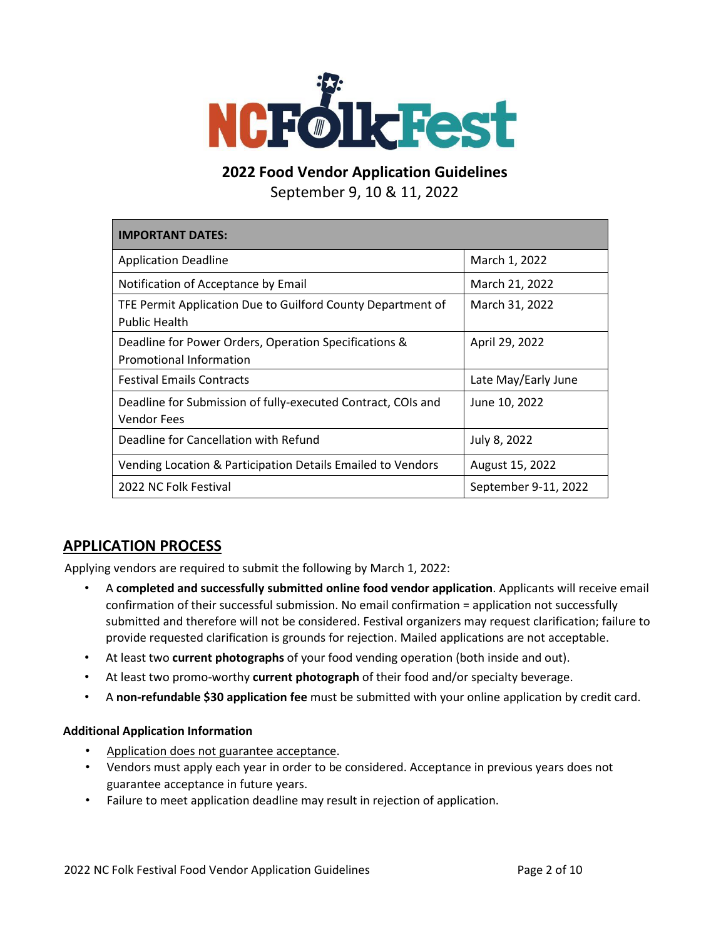

**2022 Food Vendor Application Guidelines**

September 9, 10 & 11, 2022

| <b>IMPORTANT DATES:</b>                                                             |                      |
|-------------------------------------------------------------------------------------|----------------------|
| <b>Application Deadline</b>                                                         | March 1, 2022        |
| Notification of Acceptance by Email                                                 | March 21, 2022       |
| TFE Permit Application Due to Guilford County Department of<br><b>Public Health</b> | March 31, 2022       |
| Deadline for Power Orders, Operation Specifications &<br>Promotional Information    | April 29, 2022       |
| <b>Festival Emails Contracts</b>                                                    | Late May/Early June  |
| Deadline for Submission of fully-executed Contract, COIs and<br><b>Vendor Fees</b>  | June 10, 2022        |
| Deadline for Cancellation with Refund                                               | July 8, 2022         |
| Vending Location & Participation Details Emailed to Vendors                         | August 15, 2022      |
| 2022 NC Folk Festival                                                               | September 9-11, 2022 |

# **APPLICATION PROCESS**

Applying vendors are required to submit the following by March 1, 2022:

- A **completed and successfully submitted online food vendor application**. Applicants will receive email confirmation of their successful submission. No email confirmation = application not successfully submitted and therefore will not be considered. Festival organizers may request clarification; failure to provide requested clarification is grounds for rejection. Mailed applications are not acceptable.
- At least two **current photographs** of your food vending operation (both inside and out).
- At least two promo-worthy **current photograph** of their food and/or specialty beverage.
- A **non-refundable \$30 application fee** must be submitted with your online application by credit card.

## **Additional Application Information**

- Application does not guarantee acceptance.
- Vendors must apply each year in order to be considered. Acceptance in previous years does not guarantee acceptance in future years.
- Failure to meet application deadline may result in rejection of application.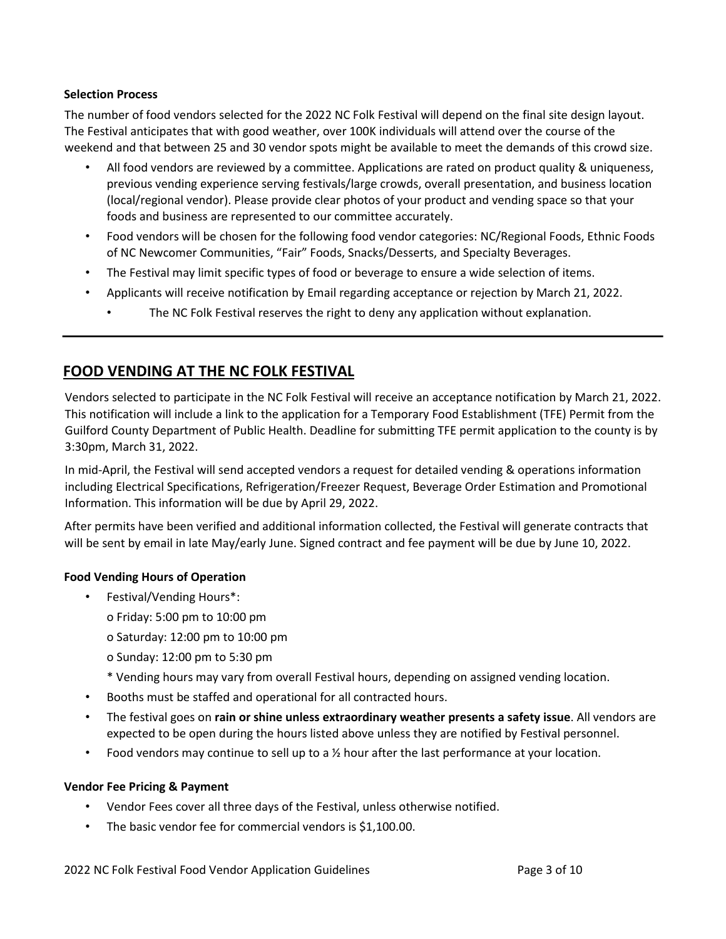## **Selection Process**

The number of food vendors selected for the 2022 NC Folk Festival will depend on the final site design layout. The Festival anticipates that with good weather, over 100K individuals will attend over the course of the weekend and that between 25 and 30 vendor spots might be available to meet the demands of this crowd size.

- All food vendors are reviewed by a committee. Applications are rated on product quality & uniqueness, previous vending experience serving festivals/large crowds, overall presentation, and business location (local/regional vendor). Please provide clear photos of your product and vending space so that your foods and business are represented to our committee accurately.
- Food vendors will be chosen for the following food vendor categories: NC/Regional Foods, Ethnic Foods of NC Newcomer Communities, "Fair" Foods, Snacks/Desserts, and Specialty Beverages.
- The Festival may limit specific types of food or beverage to ensure a wide selection of items.
- Applicants will receive notification by Email regarding acceptance or rejection by March 21, 2022.
	- The NC Folk Festival reserves the right to deny any application without explanation.

# **FOOD VENDING AT THE NC FOLK FESTIVAL**

Vendors selected to participate in the NC Folk Festival will receive an acceptance notification by March 21, 2022. This notification will include a link to the application for a Temporary Food Establishment (TFE) Permit from the Guilford County Department of Public Health. Deadline for submitting TFE permit application to the county is by 3:30pm, March 31, 2022.

In mid-April, the Festival will send accepted vendors a request for detailed vending & operations information including Electrical Specifications, Refrigeration/Freezer Request, Beverage Order Estimation and Promotional Information. This information will be due by April 29, 2022.

After permits have been verified and additional information collected, the Festival will generate contracts that will be sent by email in late May/early June. Signed contract and fee payment will be due by June 10, 2022.

## **Food Vending Hours of Operation**

- Festival/Vending Hours\*:
	- o Friday: 5:00 pm to 10:00 pm
	- o Saturday: 12:00 pm to 10:00 pm
	- o Sunday: 12:00 pm to 5:30 pm
	- \* Vending hours may vary from overall Festival hours, depending on assigned vending location.
- Booths must be staffed and operational for all contracted hours.
- The festival goes on **rain or shine unless extraordinary weather presents a safety issue**. All vendors are expected to be open during the hours listed above unless they are notified by Festival personnel.
- Food vendors may continue to sell up to a  $\frac{1}{2}$  hour after the last performance at your location.

## **Vendor Fee Pricing & Payment**

- Vendor Fees cover all three days of the Festival, unless otherwise notified.
- The basic vendor fee for commercial vendors is \$1,100.00.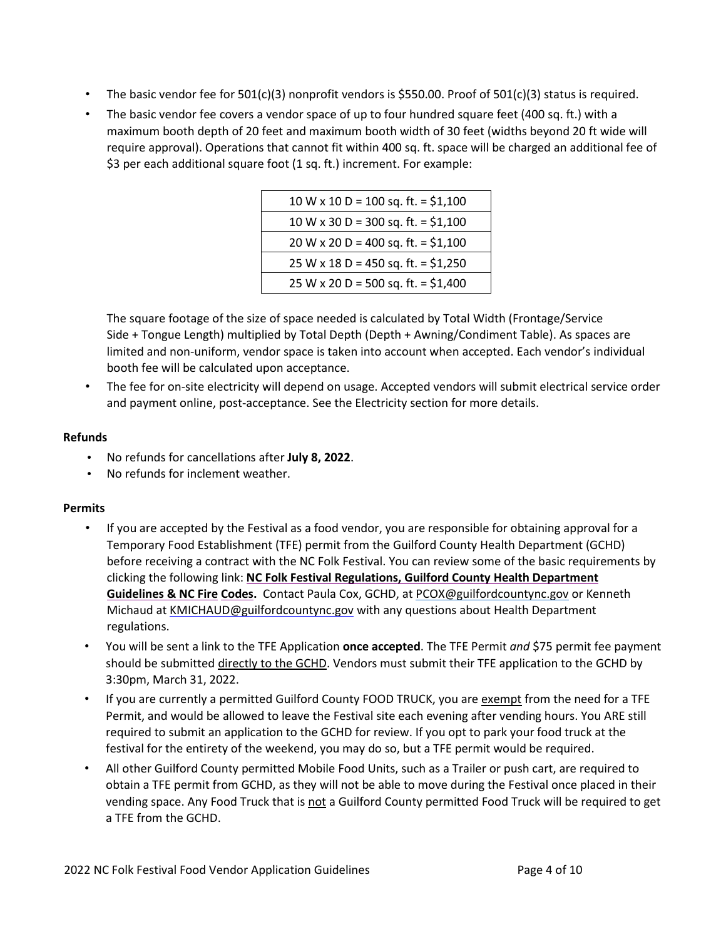- The basic vendor fee for  $501(c)(3)$  nonprofit vendors is \$550.00. Proof of  $501(c)(3)$  status is required.
- The basic vendor fee covers a vendor space of up to four hundred square feet (400 sq. ft.) with a maximum booth depth of 20 feet and maximum booth width of 30 feet (widths beyond 20 ft wide will require approval). Operations that cannot fit within 400 sq. ft. space will be charged an additional fee of \$3 per each additional square foot (1 sq. ft.) increment. For example:

| $10 W \times 10 D = 100 sq. ft. = $1,100$ |
|-------------------------------------------|
| $10 W x 30 D = 300 sq. ft. = $1,100$      |
| 20 W x 20 D = 400 sq. ft. = $$1,100$      |
| $25 W x 18 D = 450 sq. ft. = $1,250$      |
| 25 W x 20 D = 500 sq. ft. = $$1,400$      |

The square footage of the size of space needed is calculated by Total Width (Frontage/Service Side + Tongue Length) multiplied by Total Depth (Depth + Awning/Condiment Table). As spaces are limited and non-uniform, vendor space is taken into account when accepted. Each vendor's individual booth fee will be calculated upon acceptance.

• The fee for on-site electricity will depend on usage. Accepted vendors will submit electrical service order and payment online, post-acceptance. See the Electricity section for more details.

# **Refunds**

- No refunds for cancellations after **July 8, 2022**.
- No refunds for inclement weather.

# **Permits**

- If you are accepted by the Festival as a food vendor, you are responsible for obtaining approval for a Temporary Food Establishment (TFE) permit from the Guilford County Health Department (GCHD) before receiving a contract with the NC Folk Festival. You can review some of the basic requirements by clicking the following link: **NC Folk Festival [Regulations,](https://drive.google.com/file/d/1FHQElt3NNy0b3Ng5RbeoBQ1vCGcioCse/view?usp=sharing) Guilford County Health Department [Guidelines](https://drive.google.com/file/d/1FHQElt3NNy0b3Ng5RbeoBQ1vCGcioCse/view?usp=sharing) & NC Fir[e](https://drive.google.com/file/d/1FHQElt3NNy0b3Ng5RbeoBQ1vCGcioCse/view?usp=sharing) [Codes](https://ncfolkfestival.com/wp-content/uploads/2022/02/2022-Health-Dept-Fire-Code-NCFF-Guidelines.pdf)[.](https://drive.google.com/file/d/1FHQElt3NNy0b3Ng5RbeoBQ1vCGcioCse/view?usp=sharing)** [C](https://drive.google.com/file/d/1FHQElt3NNy0b3Ng5RbeoBQ1vCGcioCse/view?usp=sharing)ontact Paula Cox, GCHD, at PCOX@guilfordcountync.gov or Kenneth Michaud at KMICHAUD@guilfordcountync.gov with any questions about Health Department regulations.
- You will be sent a link to the TFE Application **once accepted**. The TFE Permit *and* \$75 permit fee payment should be submitted directly to the GCHD. Vendors must submit their TFE application to the GCHD by 3:30pm, March 31, 2022.
- If you are currently a permitted Guilford County FOOD TRUCK, you are exempt from the need for a TFE Permit, and would be allowed to leave the Festival site each evening after vending hours. You ARE still required to submit an application to the GCHD for review. If you opt to park your food truck at the festival for the entirety of the weekend, you may do so, but a TFE permit would be required.
- All other Guilford County permitted Mobile Food Units, such as a Trailer or push cart, are required to obtain a TFE permit from GCHD, as they will not be able to move during the Festival once placed in their vending space. Any Food Truck that is not a Guilford County permitted Food Truck will be required to get a TFE from the GCHD.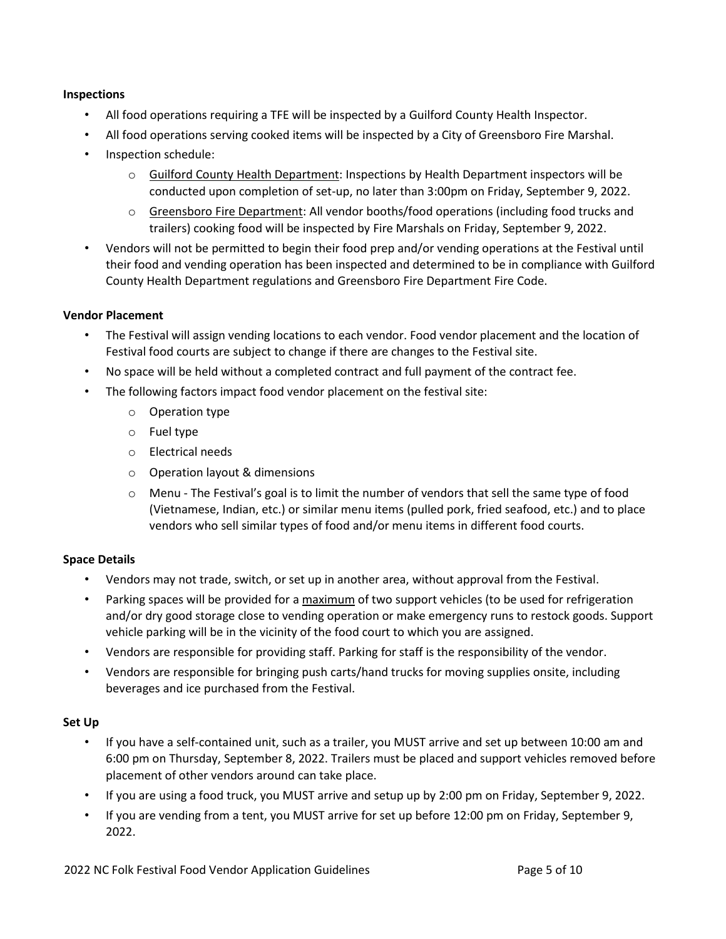## **Inspections**

- All food operations requiring a TFE will be inspected by a Guilford County Health Inspector.
- All food operations serving cooked items will be inspected by a City of Greensboro Fire Marshal.
- Inspection schedule:
	- o Guilford County Health Department: Inspections by Health Department inspectors will be conducted upon completion of set-up, no later than 3:00pm on Friday, September 9, 2022.
	- o Greensboro Fire Department: All vendor booths/food operations (including food trucks and trailers) cooking food will be inspected by Fire Marshals on Friday, September 9, 2022.
- Vendors will not be permitted to begin their food prep and/or vending operations at the Festival until their food and vending operation has been inspected and determined to be in compliance with Guilford County Health Department regulations and Greensboro Fire Department Fire Code.

# **Vendor Placement**

- The Festival will assign vending locations to each vendor. Food vendor placement and the location of Festival food courts are subject to change if there are changes to the Festival site.
- No space will be held without a completed contract and full payment of the contract fee.
- The following factors impact food vendor placement on the festival site:
	- o Operation type
	- o Fuel type
	- o Electrical needs
	- o Operation layout & dimensions
	- $\circ$  Menu The Festival's goal is to limit the number of vendors that sell the same type of food (Vietnamese, Indian, etc.) or similar menu items (pulled pork, fried seafood, etc.) and to place vendors who sell similar types of food and/or menu items in different food courts.

## **Space Details**

- Vendors may not trade, switch, or set up in another area, without approval from the Festival.
- Parking spaces will be provided for a maximum of two support vehicles (to be used for refrigeration and/or dry good storage close to vending operation or make emergency runs to restock goods. Support vehicle parking will be in the vicinity of the food court to which you are assigned.
- Vendors are responsible for providing staff. Parking for staff is the responsibility of the vendor.
- Vendors are responsible for bringing push carts/hand trucks for moving supplies onsite, including beverages and ice purchased from the Festival.

## **Set Up**

- If you have a self-contained unit, such as a trailer, you MUST arrive and set up between 10:00 am and 6:00 pm on Thursday, September 8, 2022. Trailers must be placed and support vehicles removed before placement of other vendors around can take place.
- If you are using a food truck, you MUST arrive and setup up by 2:00 pm on Friday, September 9, 2022.
- If you are vending from a tent, you MUST arrive for set up before 12:00 pm on Friday, September 9, 2022.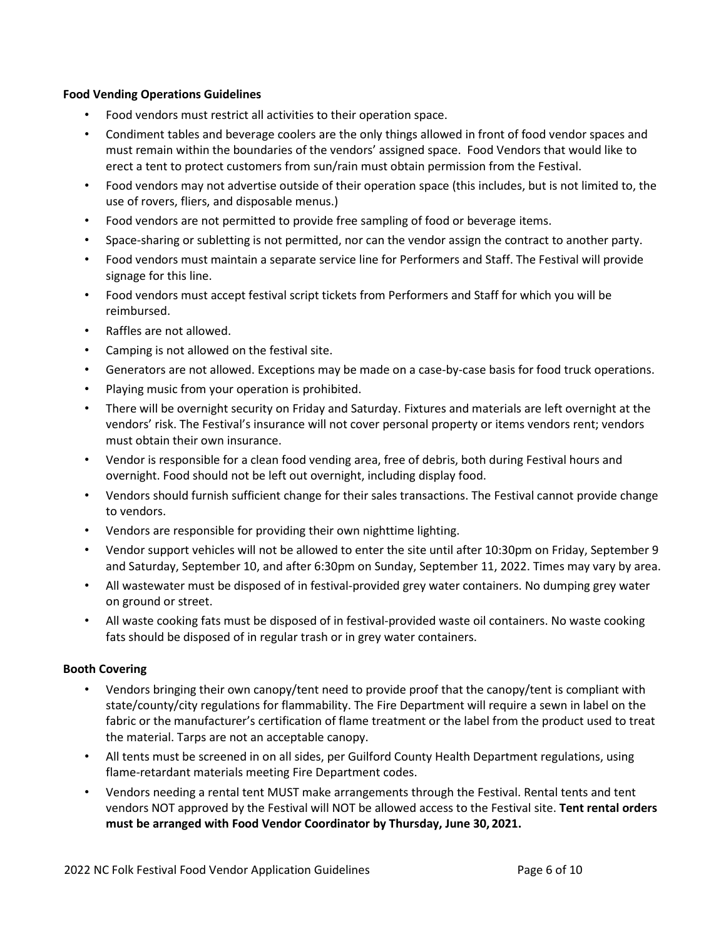## **Food Vending Operations Guidelines**

- Food vendors must restrict all activities to their operation space.
- Condiment tables and beverage coolers are the only things allowed in front of food vendor spaces and must remain within the boundaries of the vendors' assigned space. Food Vendors that would like to erect a tent to protect customers from sun/rain must obtain permission from the Festival.
- Food vendors may not advertise outside of their operation space (this includes, but is not limited to, the use of rovers, fliers, and disposable menus.)
- Food vendors are not permitted to provide free sampling of food or beverage items.
- Space-sharing or subletting is not permitted, nor can the vendor assign the contract to another party.
- Food vendors must maintain a separate service line for Performers and Staff. The Festival will provide signage for this line.
- Food vendors must accept festival script tickets from Performers and Staff for which you will be reimbursed.
- Raffles are not allowed.
- Camping is not allowed on the festival site.
- Generators are not allowed. Exceptions may be made on a case-by-case basis for food truck operations.
- Playing music from your operation is prohibited.
- There will be overnight security on Friday and Saturday. Fixtures and materials are left overnight at the vendors' risk. The Festival's insurance will not cover personal property or items vendors rent; vendors must obtain their own insurance.
- Vendor is responsible for a clean food vending area, free of debris, both during Festival hours and overnight. Food should not be left out overnight, including display food.
- Vendors should furnish sufficient change for their sales transactions. The Festival cannot provide change to vendors.
- Vendors are responsible for providing their own nighttime lighting.
- Vendor support vehicles will not be allowed to enter the site until after 10:30pm on Friday, September 9 and Saturday, September 10, and after 6:30pm on Sunday, September 11, 2022. Times may vary by area.
- All wastewater must be disposed of in festival-provided grey water containers. No dumping grey water on ground or street.
- All waste cooking fats must be disposed of in festival-provided waste oil containers. No waste cooking fats should be disposed of in regular trash or in grey water containers.

# **Booth Covering**

- Vendors bringing their own canopy/tent need to provide proof that the canopy/tent is compliant with state/county/city regulations for flammability. The Fire Department will require a sewn in label on the fabric or the manufacturer's certification of flame treatment or the label from the product used to treat the material. Tarps are not an acceptable canopy.
- All tents must be screened in on all sides, per Guilford County Health Department regulations, using flame-retardant materials meeting Fire Department codes.
- Vendors needing a rental tent MUST make arrangements through the Festival. Rental tents and tent vendors NOT approved by the Festival will NOT be allowed access to the Festival site. **Tent rental orders must be arranged with Food Vendor Coordinator by Thursday, June 30, 2021.**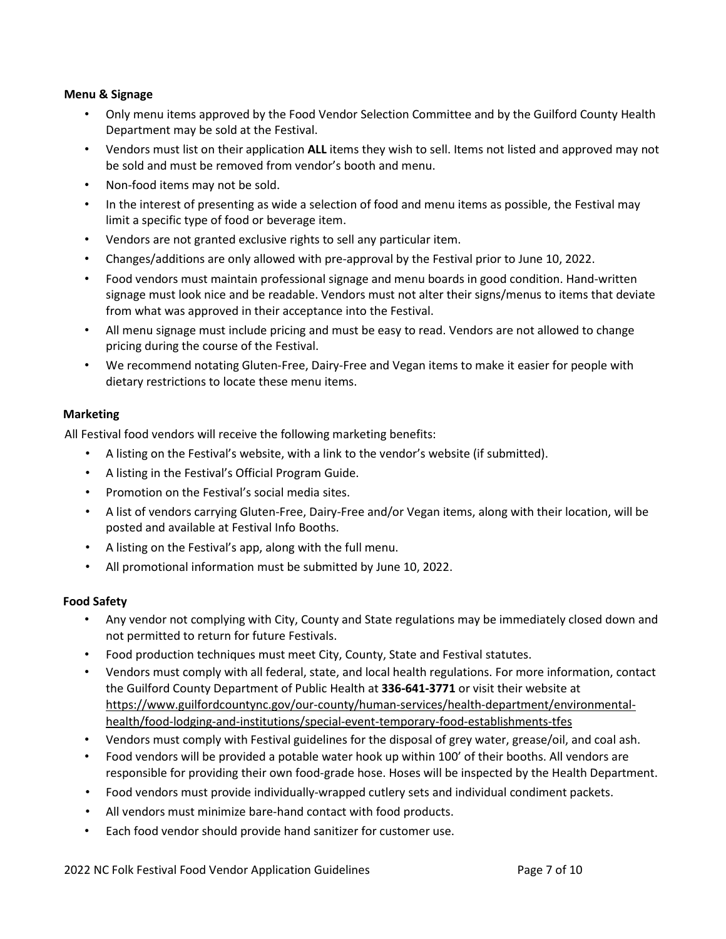## **Menu & Signage**

- Only menu items approved by the Food Vendor Selection Committee and by the Guilford County Health Department may be sold at the Festival.
- Vendors must list on their application **ALL** items they wish to sell. Items not listed and approved may not be sold and must be removed from vendor's booth and menu.
- Non-food items may not be sold.
- In the interest of presenting as wide a selection of food and menu items as possible, the Festival may limit a specific type of food or beverage item.
- Vendors are not granted exclusive rights to sell any particular item.
- Changes/additions are only allowed with pre-approval by the Festival prior to June 10, 2022.
- Food vendors must maintain professional signage and menu boards in good condition. Hand-written signage must look nice and be readable. Vendors must not alter their signs/menus to items that deviate from what was approved in their acceptance into the Festival.
- All menu signage must include pricing and must be easy to read. Vendors are not allowed to change pricing during the course of the Festival.
- We recommend notating Gluten-Free, Dairy-Free and Vegan items to make it easier for people with dietary restrictions to locate these menu items.

#### **Marketing**

All Festival food vendors will receive the following marketing benefits:

- A listing on the Festival's website, with a link to the vendor's website (if submitted).
- A listing in the Festival's Official Program Guide.
- Promotion on the Festival's social media sites.
- A list of vendors carrying Gluten-Free, Dairy-Free and/or Vegan items, along with their location, will be posted and available at Festival Info Booths.
- A listing on the Festival's app, along with the full menu.
- All promotional information must be submitted by June 10, 2022.

## **Food Safety**

- Any vendor not complying with City, County and State regulations may be immediately closed down and not permitted to return for future Festivals.
- Food production techniques must meet City, County, State and Festival statutes.
- Vendors must comply with all federal, state, and local health regulations. For more information, contact the Guilford County Department of Public Health at **336-641-3771** or visit their website at [https://www.guilfordcountync.gov/our-county/human-services/health-department/environmental](https://www.guilfordcountync.gov/our-county/human-services/health-department/environmental-health/food-lodging-and-institutions/special-event-temporary-food-establishments-tfes)[health/food-lodging-and-institutions/special-event-temporary-food-establishments-tfes](https://www.guilfordcountync.gov/our-county/human-services/health-department/environmental-health/food-lodging-and-institutions/special-event-temporary-food-establishments-tfes)
- Vendors must comply with Festival guidelines for the disposal of grey water, grease/oil, and coal ash.
- Food vendors will be provided a potable water hook up within 100' of their booths. All vendors are responsible for providing their own food-grade hose. Hoses will be inspected by the Health Department.
- Food vendors must provide individually-wrapped cutlery sets and individual condiment packets.
- All vendors must minimize bare-hand contact with food products.
- Each food vendor should provide hand sanitizer for customer use.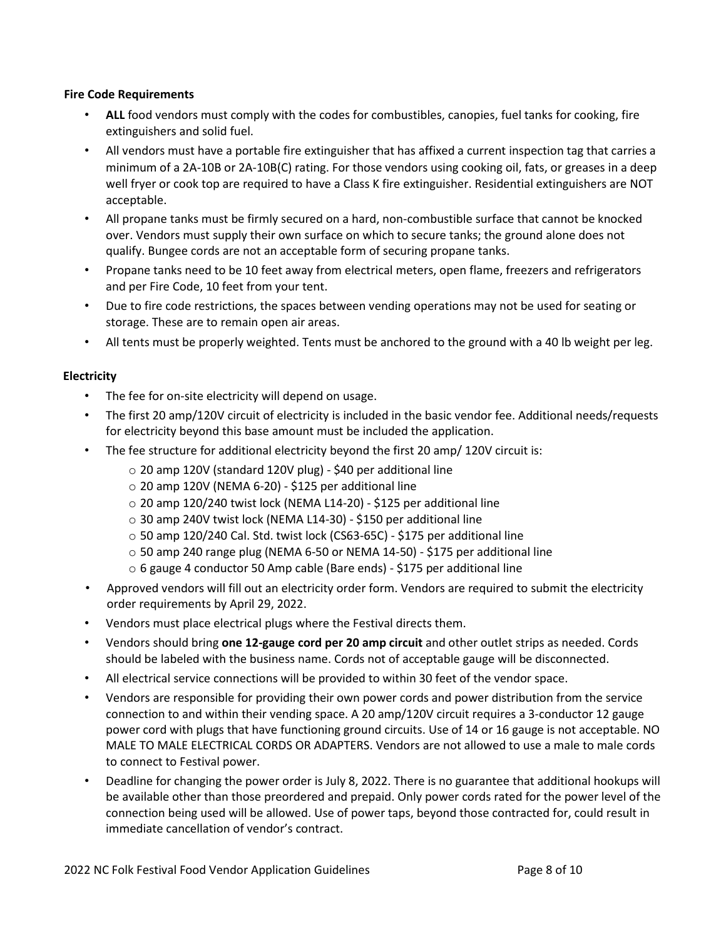## **Fire Code Requirements**

- **ALL** food vendors must comply with the codes for combustibles, canopies, fuel tanks for cooking, fire extinguishers and solid fuel.
- All vendors must have a portable fire extinguisher that has affixed a current inspection tag that carries a minimum of a 2A-10B or 2A-10B(C) rating. For those vendors using cooking oil, fats, or greases in a deep well fryer or cook top are required to have a Class K fire extinguisher. Residential extinguishers are NOT acceptable.
- All propane tanks must be firmly secured on a hard, non-combustible surface that cannot be knocked over. Vendors must supply their own surface on which to secure tanks; the ground alone does not qualify. Bungee cords are not an acceptable form of securing propane tanks.
- Propane tanks need to be 10 feet away from electrical meters, open flame, freezers and refrigerators and per Fire Code, 10 feet from your tent.
- Due to fire code restrictions, the spaces between vending operations may not be used for seating or storage. These are to remain open air areas.
- All tents must be properly weighted. Tents must be anchored to the ground with a 40 lb weight per leg.

# **Electricity**

- The fee for on-site electricity will depend on usage.
- The first 20 amp/120V circuit of electricity is included in the basic vendor fee. Additional needs/requests for electricity beyond this base amount must be included the application.
- The fee structure for additional electricity beyond the first 20 amp/ 120V circuit is:
	- o 20 amp 120V (standard 120V plug) \$40 per additional line
	- $\circ$  20 amp 120V (NEMA 6-20) \$125 per additional line
	- o 20 amp 120/240 twist lock (NEMA L14-20) \$125 per additional line
	- o 30 amp 240V twist lock (NEMA L14-30) \$150 per additional line
	- o 50 amp 120/240 Cal. Std. twist lock (CS63-65C) \$175 per additional line
	- $\circ$  50 amp 240 range plug (NEMA 6-50 or NEMA 14-50) \$175 per additional line
	- o 6 gauge 4 conductor 50 Amp cable (Bare ends) \$175 per additional line
- Approved vendors will fill out an electricity order form. Vendors are required to submit the electricity order requirements by April 29, 2022.
- Vendors must place electrical plugs where the Festival directs them.
- Vendors should bring **one 12-gauge cord per 20 amp circuit** and other outlet strips as needed. Cords should be labeled with the business name. Cords not of acceptable gauge will be disconnected.
- All electrical service connections will be provided to within 30 feet of the vendor space.
- Vendors are responsible for providing their own power cords and power distribution from the service connection to and within their vending space. A 20 amp/120V circuit requires a 3-conductor 12 gauge power cord with plugs that have functioning ground circuits. Use of 14 or 16 gauge is not acceptable. NO MALE TO MALE ELECTRICAL CORDS OR ADAPTERS. Vendors are not allowed to use a male to male cords to connect to Festival power.
- Deadline for changing the power order is July 8, 2022. There is no guarantee that additional hookups will be available other than those preordered and prepaid. Only power cords rated for the power level of the connection being used will be allowed. Use of power taps, beyond those contracted for, could result in immediate cancellation of vendor's contract.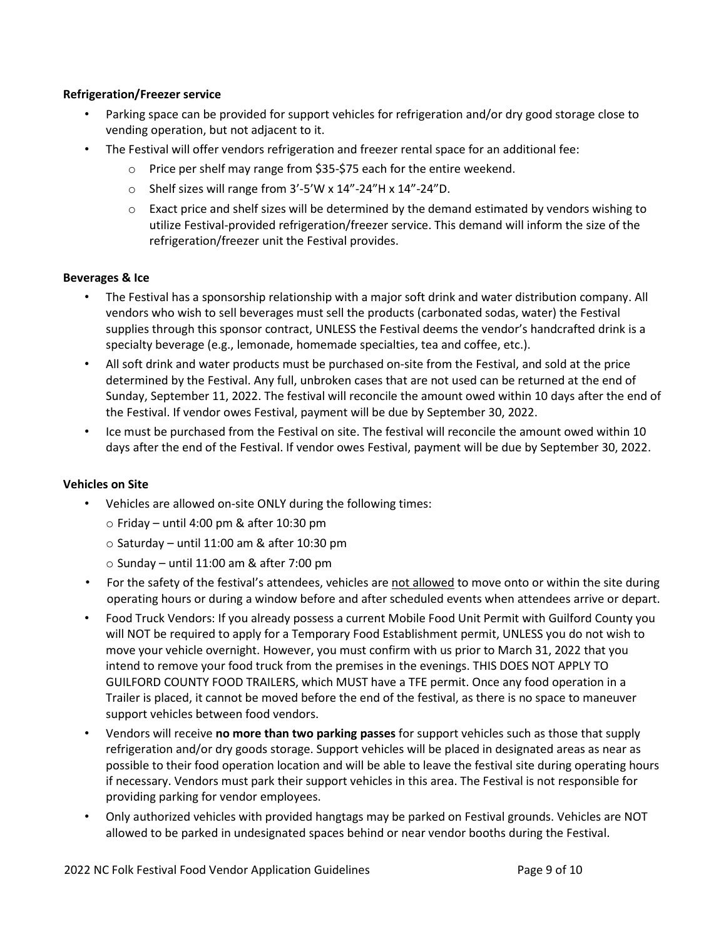## **Refrigeration/Freezer service**

- Parking space can be provided for support vehicles for refrigeration and/or dry good storage close to vending operation, but not adjacent to it.
- The Festival will offer vendors refrigeration and freezer rental space for an additional fee:
	- o Price per shelf may range from \$35-\$75 each for the entire weekend.
	- o Shelf sizes will range from 3'-5'W x 14"-24"H x 14"-24"D.
	- $\circ$  Exact price and shelf sizes will be determined by the demand estimated by vendors wishing to utilize Festival-provided refrigeration/freezer service. This demand will inform the size of the refrigeration/freezer unit the Festival provides.

# **Beverages & Ice**

- The Festival has a sponsorship relationship with a major soft drink and water distribution company. All vendors who wish to sell beverages must sell the products (carbonated sodas, water) the Festival supplies through this sponsor contract, UNLESS the Festival deems the vendor's handcrafted drink is a specialty beverage (e.g., lemonade, homemade specialties, tea and coffee, etc.).
- All soft drink and water products must be purchased on-site from the Festival, and sold at the price determined by the Festival. Any full, unbroken cases that are not used can be returned at the end of Sunday, September 11, 2022. The festival will reconcile the amount owed within 10 days after the end of the Festival. If vendor owes Festival, payment will be due by September 30, 2022.
- Ice must be purchased from the Festival on site. The festival will reconcile the amount owed within 10 days after the end of the Festival. If vendor owes Festival, payment will be due by September 30, 2022.

## **Vehicles on Site**

- Vehicles are allowed on-site ONLY during the following times:
	- $\circ$  Friday until 4:00 pm & after 10:30 pm
	- $\circ$  Saturday until 11:00 am & after 10:30 pm
	- $\circ$  Sunday until 11:00 am & after 7:00 pm
- For the safety of the festival's attendees, vehicles are not allowed to move onto or within the site during operating hours or during a window before and after scheduled events when attendees arrive or depart.
- Food Truck Vendors: If you already possess a current Mobile Food Unit Permit with Guilford County you will NOT be required to apply for a Temporary Food Establishment permit, UNLESS you do not wish to move your vehicle overnight. However, you must confirm with us prior to March 31, 2022 that you intend to remove your food truck from the premises in the evenings. THIS DOES NOT APPLY TO GUILFORD COUNTY FOOD TRAILERS, which MUST have a TFE permit. Once any food operation in a Trailer is placed, it cannot be moved before the end of the festival, as there is no space to maneuver support vehicles between food vendors.
- Vendors will receive **no more than two parking passes** for support vehicles such as those that supply refrigeration and/or dry goods storage. Support vehicles will be placed in designated areas as near as possible to their food operation location and will be able to leave the festival site during operating hours if necessary. Vendors must park their support vehicles in this area. The Festival is not responsible for providing parking for vendor employees.
- Only authorized vehicles with provided hangtags may be parked on Festival grounds. Vehicles are NOT allowed to be parked in undesignated spaces behind or near vendor booths during the Festival.